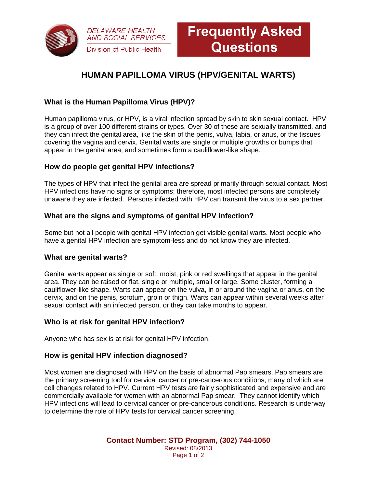

# **HUMAN PAPILLOMA VIRUS (HPV/GENITAL WARTS)**

# **What is the Human Papilloma Virus (HPV)?**

Human papilloma virus, or HPV, is a viral infection spread by skin to skin sexual contact. HPV is a group of over 100 different strains or types. Over 30 of these are sexually transmitted, and they can infect the genital area, like the skin of the penis, vulva, labia, or anus, or the tissues covering the vagina and cervix. Genital warts are single or multiple growths or bumps that appear in the genital area, and sometimes form a cauliflower-like shape.

#### **How do people get genital HPV infections?**

The types of HPV that infect the genital area are spread primarily through sexual contact. Most HPV infections have no signs or symptoms; therefore, most infected persons are completely unaware they are infected. Persons infected with HPV can transmit the virus to a sex partner.

## **What are the signs and symptoms of genital HPV infection?**

Some but not all people with genital HPV infection get visible genital warts. Most people who have a genital HPV infection are symptom-less and do not know they are infected.

#### **What are genital warts?**

Genital warts appear as single or soft, moist, pink or red swellings that appear in the genital area. They can be raised or flat, single or multiple, small or large. Some cluster, forming a cauliflower-like shape. Warts can appear on the vulva, in or around the vagina or anus, on the cervix, and on the penis, scrotum, groin or thigh. Warts can appear within several weeks after sexual contact with an infected person, or they can take months to appear.

#### **Who is at risk for genital HPV infection?**

Anyone who has sex is at risk for genital HPV infection.

#### **How is genital HPV infection diagnosed?**

Most women are diagnosed with HPV on the basis of abnormal Pap smears. Pap smears are the primary screening tool for cervical cancer or pre-cancerous conditions, many of which are cell changes related to HPV. Current HPV tests are fairly sophisticated and expensive and are commercially available for women with an abnormal Pap smear. They cannot identify which HPV infections will lead to cervical cancer or pre-cancerous conditions. Research is underway to determine the role of HPV tests for cervical cancer screening.

> **Contact Number: STD Program, (302) 744-1050** Revised: 08/2013 Page 1 of 2